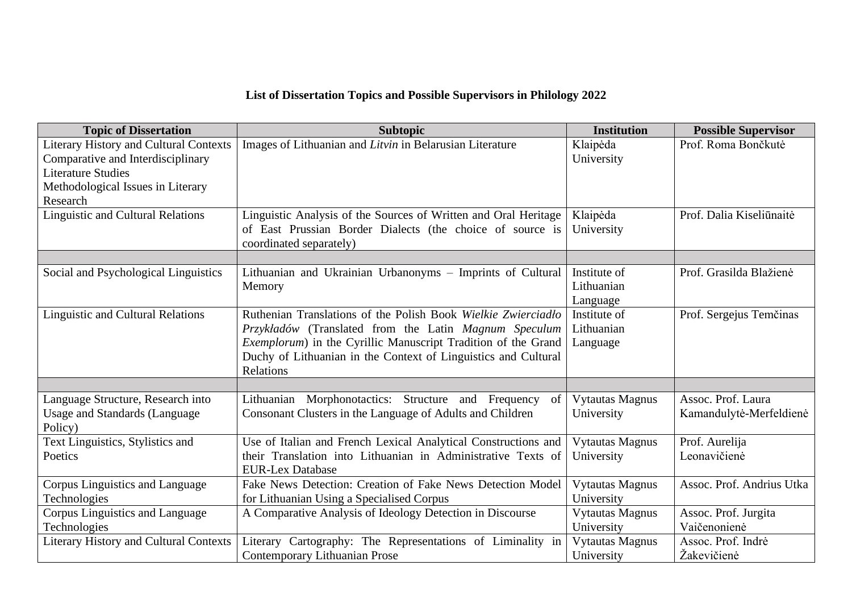## **List of Dissertation Topics and Possible Supervisors in Philology 2022**

| <b>Topic of Dissertation</b>                                                                                    | <b>Subtopic</b>                                                                                                                                                                                                                                                                | <b>Institution</b>                     | <b>Possible Supervisor</b>                    |  |
|-----------------------------------------------------------------------------------------------------------------|--------------------------------------------------------------------------------------------------------------------------------------------------------------------------------------------------------------------------------------------------------------------------------|----------------------------------------|-----------------------------------------------|--|
| <b>Literary History and Cultural Contexts</b><br>Comparative and Interdisciplinary<br><b>Literature Studies</b> | Images of Lithuanian and Litvin in Belarusian Literature                                                                                                                                                                                                                       | Klaipėda<br>University                 | Prof. Roma Bončkutė                           |  |
| Methodological Issues in Literary<br>Research                                                                   |                                                                                                                                                                                                                                                                                |                                        |                                               |  |
| <b>Linguistic and Cultural Relations</b>                                                                        | Linguistic Analysis of the Sources of Written and Oral Heritage<br>of East Prussian Border Dialects (the choice of source is<br>coordinated separately)                                                                                                                        | Klaipėda<br>University                 | Prof. Dalia Kiseliūnaitė                      |  |
| Social and Psychological Linguistics                                                                            | Lithuanian and Ukrainian Urbanonyms - Imprints of Cultural<br>Memory                                                                                                                                                                                                           | Institute of<br>Lithuanian<br>Language | Prof. Grasilda Blažienė                       |  |
| <b>Linguistic and Cultural Relations</b>                                                                        | Ruthenian Translations of the Polish Book Wielkie Zwierciadło<br>Przykładów (Translated from the Latin Magnum Speculum<br><i>Exemplorum</i> ) in the Cyrillic Manuscript Tradition of the Grand<br>Duchy of Lithuanian in the Context of Linguistics and Cultural<br>Relations | Institute of<br>Lithuanian<br>Language | Prof. Sergejus Temčinas                       |  |
| Language Structure, Research into<br><b>Usage and Standards (Language)</b><br>Policy)                           | Lithuanian Morphonotactics: Structure and Frequency<br>of <sub>1</sub><br>Consonant Clusters in the Language of Adults and Children                                                                                                                                            | <b>Vytautas Magnus</b><br>University   | Assoc. Prof. Laura<br>Kamandulytė-Merfeldienė |  |
| Text Linguistics, Stylistics and<br>Poetics                                                                     | Use of Italian and French Lexical Analytical Constructions and<br>their Translation into Lithuanian in Administrative Texts of<br><b>EUR-Lex Database</b>                                                                                                                      | <b>Vytautas Magnus</b><br>University   | Prof. Aurelija<br>Leonavičienė                |  |
| Corpus Linguistics and Language<br>Technologies                                                                 | Fake News Detection: Creation of Fake News Detection Model<br>for Lithuanian Using a Specialised Corpus                                                                                                                                                                        | <b>Vytautas Magnus</b><br>University   | Assoc. Prof. Andrius Utka                     |  |
| Corpus Linguistics and Language<br>Technologies                                                                 | A Comparative Analysis of Ideology Detection in Discourse                                                                                                                                                                                                                      | <b>Vytautas Magnus</b><br>University   | Assoc. Prof. Jurgita<br>Vaičenonienė          |  |
| <b>Literary History and Cultural Contexts</b>                                                                   | Literary Cartography: The Representations of Liminality in<br>Contemporary Lithuanian Prose                                                                                                                                                                                    | <b>Vytautas Magnus</b><br>University   | Assoc. Prof. Indrė<br>Žakevičienė             |  |